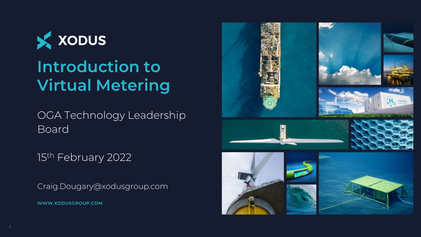

# **Introduction to Virtual Metering**

OGA Technology Leadership Board

15th February 2022

**WWW.XODUSGROUP.COM** Craig.Dougary@xodusgroup.com

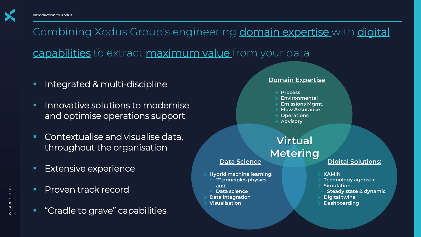

Combining Xodus Group's engineering domain expertise with digital capabilities to extract maximum value from your data.

- Integrated & multi-discipline
- Innovative solutions to modernise and optimise operations support
- Contextualise and visualise data, throughout the organisation
- **Extensive experience**
- Proven track record
- "Cradle to grave" capabilities

#### **Domain Expertise**

- ➢ **Process**
- ➢ **Environmental**
- ➢ **Emissions Mgmt.**
- ➢ **Flow Assurance**
- ➢ **Operations**
- ➢ **Advisory**

## **Data Science Virtual Metering**

- ➢ **Hybrid machine learning:**
	- **1 st principles physics, and**
- **Data science**
- ➢ **Data integration**
- ➢ **Visualisation**

### **Digital Solutions:**

- ➢ **XAMIN**
- ➢ **Technology agnostic**
- ➢ **Simulation:**
- **Steady state & dynamic**
- ➢ **Digital twins**
- ➢ **Dashboarding**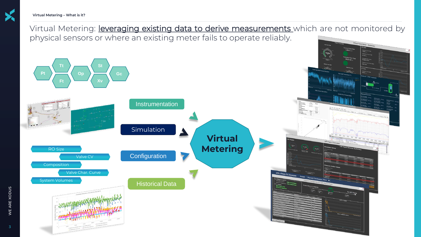

Virtual Metering: *leveraging existing data to derive measurements* which are not monitored by physical sensors or where an existing meter fails to operate reliably.

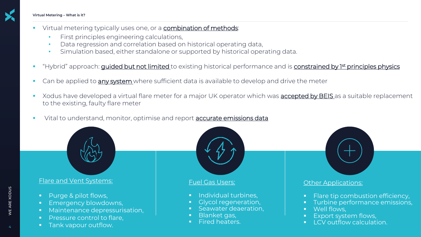

- Virtual metering typically uses one, or a combination of methods:
	- First principles engineering calculations,
	- Data regression and correlation based on historical operating data,
	- Simulation based, either standalone or supported by historical operating data.
- "Hybrid" approach: *guided but not limited* to existing historical performance and is *constrained by 1st principles physics*
- Can be applied to any system where sufficient data is available to develop and drive the meter
- Xodus have developed a virtual flare meter for a major UK operator which was **accepted by BEIS** as a suitable replacement to the existing, faulty flare meter
- Vital to understand, monitor, optimise and report **accurate emissions data**



#### Flare and Vent Systems:

- Purge & pilot flows,
- Emergency blowdowns,
- Maintenance depressurisation,
- **·** Pressure control to flare,
- Tank vapour outflow.



- **Blanket gas,**
- Fired heaters.
- **Elare tip combustion efficiency,**
- Turbine performance emissions,
- Export system flows,
- **LCV outflow calculation.**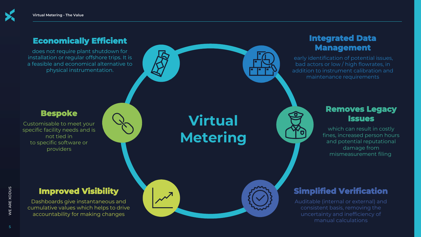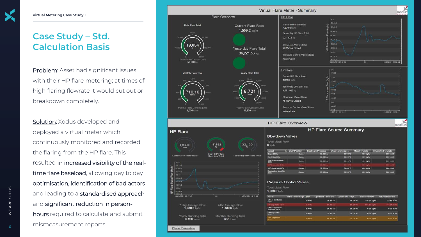# **Case Study – Std. Calculation Basis**

Problem: Asset had significant issues with their HP flare metering; at times of high flaring flowrate it would cut out or breakdown completely.

Solution: Xodus developed and deployed a virtual meter which continuously monitored and recorded the flaring from the HP flare. This resulted in increased visibility of the realtime flare baseload, allowing day to day optimisation, identification of bad actors and leading to a standardised approach and significant reduction in personhours required to calculate and submit mismeasurement reports.

**Flare Overview** 

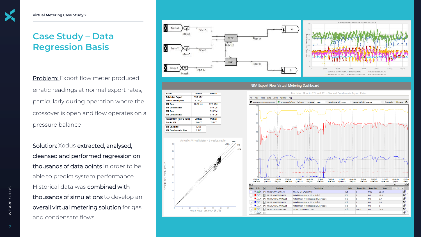# **Case Study – Data Regression Basis**

Problem: Export flow meter produced erratic readings at normal export rates, particularly during operation where the crossover is open and flow operates on a pressure balance

Rates

 $1$ TL Gas

 $2TL$  Gas

Gas to 1TL

1TL Gas Bias **1TL Condensate Bias** 

**Total Gas Export** 

**Total Cond Export** 

**1TL Condensate** 

2TL Condensate

**Cumulative (last 24hrs)** 

**Actual** 

35.2 KT/d

 $3.2$  KT/d

28.34 kt/d

**Actual** 

744 KT

 $0.791$ 

 $0.910$ 

Actual vs Virtual Meter - 1 week sample

20

Actual Meter 08FI9904 (kT/d)

**Virtual** 

27.8 KT/d

 $2.9$  KT/d

 $7.3$  KT/d

 $0.3$  KT/d

**Virtual** 

725 KT

Solution: Xodus extracted, analysed, cleansed and performed regression on thousands of data points in order to be able to predict system performance. Historical data was combined with thousands of simulations to develop an overall virtual metering solution for gas and condensate flows.



#### NRA Export Flow Virtual Metering Dashboard